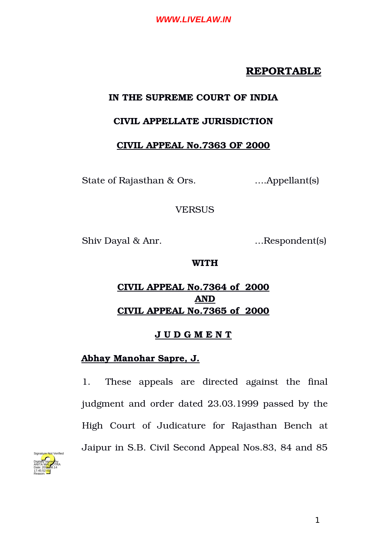## **REPORTABLE**

## **IN THE SUPREME COURT OF INDIA**

## **CIVIL APPELLATE JURISDICTION**

## **CIVIL APPEAL No.7363 OF 2000**

State of Rajasthan & Ors. ….Appellant(s)

### **VERSUS**

Shiv Dayal & Anr. …Respondent(s)

### **WITH**

# **CIVIL APPEAL No.7364 of 2000 AND CIVIL APPEAL No.7365 of 2000**

## **J U D G M E N T**

## **Abhay Manohar Sapre, J.**

1. These appeals are directed against the final judgment and order dated 23.03.1999 passed by the High Court of Judicature for Rajasthan Bench at Jaipur in S.B. Civil Second Appeal Nos.83, 84 and 85

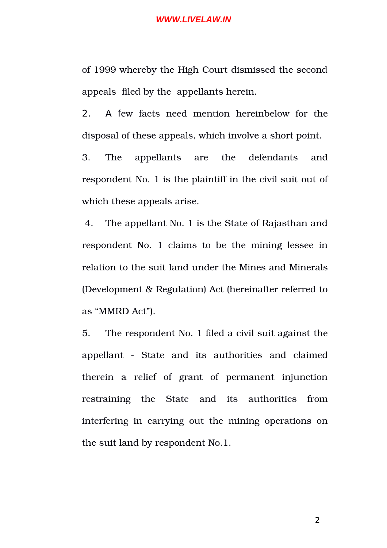of 1999 whereby the High Court dismissed the second appeals filed by the appellants herein.

2. A few facts need mention hereinbelow for the disposal of these appeals, which involve a short point.

3. The appellants are the defendants and respondent No. 1 is the plaintiff in the civil suit out of which these appeals arise.

4. The appellant No. 1 is the State of Rajasthan and respondent No. 1 claims to be the mining lessee in relation to the suit land under the Mines and Minerals (Development & Regulation) Act (hereinafter referred to as "MMRD Act").

5. The respondent No. 1 filed a civil suit against the appellant - State and its authorities and claimed therein a relief of grant of permanent injunction restraining the State and its authorities from interfering in carrying out the mining operations on the suit land by respondent No.1.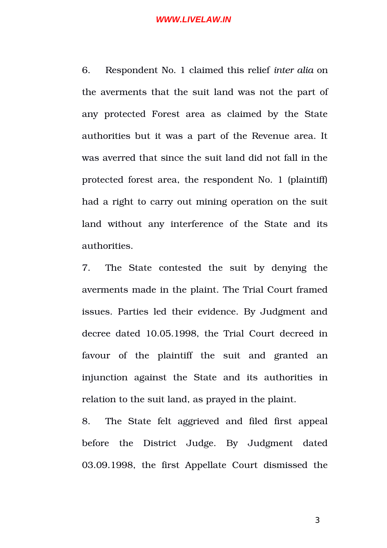6. Respondent No. 1 claimed this relief *inter alia* on the averments that the suit land was not the part of any protected Forest area as claimed by the State authorities but it was a part of the Revenue area. It was averred that since the suit land did not fall in the protected forest area, the respondent No. 1 (plaintiff) had a right to carry out mining operation on the suit land without any interference of the State and its authorities.

7. The State contested the suit by denying the averments made in the plaint. The Trial Court framed issues. Parties led their evidence. By Judgment and decree dated 10.05.1998, the Trial Court decreed in favour of the plaintiff the suit and granted an injunction against the State and its authorities in relation to the suit land, as prayed in the plaint.

8. The State felt aggrieved and filed first appeal before the District Judge. By Judgment dated 03.09.1998, the first Appellate Court dismissed the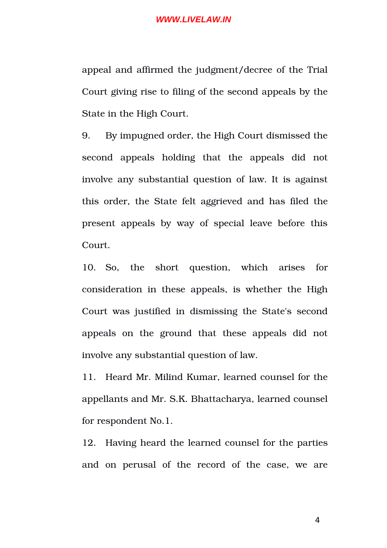appeal and affirmed the judgment/decree of the Trial Court giving rise to filing of the second appeals by the State in the High Court.

9. By impugned order, the High Court dismissed the second appeals holding that the appeals did not involve any substantial question of law. It is against this order, the State felt aggrieved and has filed the present appeals by way of special leave before this Court.

10. So, the short question, which arises for consideration in these appeals, is whether the High Court was justified in dismissing the State's second appeals on the ground that these appeals did not involve any substantial question of law.

11. Heard Mr. Milind Kumar, learned counsel for the appellants and Mr. S.K. Bhattacharya, learned counsel for respondent No.1.

12. Having heard the learned counsel for the parties and on perusal of the record of the case, we are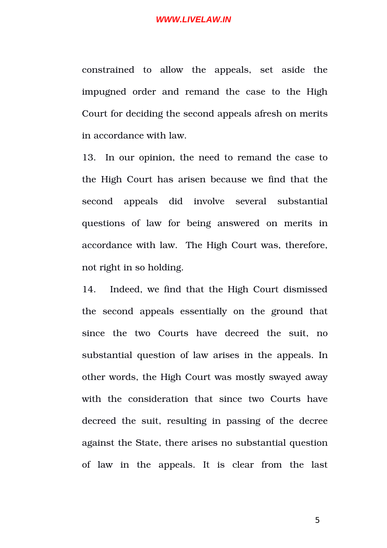constrained to allow the appeals, set aside the impugned order and remand the case to the High Court for deciding the second appeals afresh on merits in accordance with law.

13. In our opinion, the need to remand the case to the High Court has arisen because we find that the second appeals did involve several substantial questions of law for being answered on merits in accordance with law. The High Court was, therefore, not right in so holding.

14. Indeed, we find that the High Court dismissed the second appeals essentially on the ground that since the two Courts have decreed the suit, no substantial question of law arises in the appeals. In other words, the High Court was mostly swayed away with the consideration that since two Courts have decreed the suit, resulting in passing of the decree against the State, there arises no substantial question of law in the appeals. It is clear from the last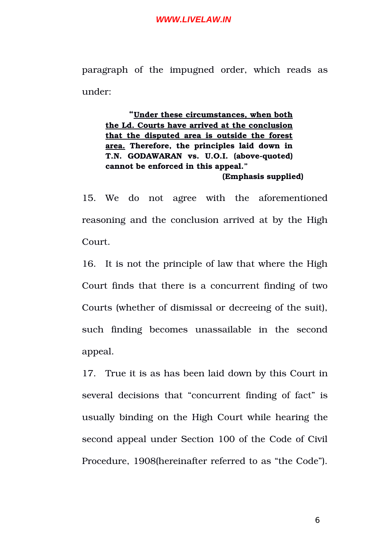paragraph of the impugned order, which reads as under:

**"Under these circumstances, when both the Ld. Courts have arrived at the conclusion that the disputed area is outside the forest area. Therefore, the principles laid down in** T.N. GODAWARAN vs. U.O.I. (above-quoted) **cannot be enforced in this appeal." (Emphasis supplied)**

15. We do not agree with the aforementioned reasoning and the conclusion arrived at by the High Court.

16. It is not the principle of law that where the High Court finds that there is a concurrent finding of two Courts (whether of dismissal or decreeing of the suit), such finding becomes unassailable in the second appeal.

17. True it is as has been laid down by this Court in several decisions that "concurrent finding of fact" is usually binding on the High Court while hearing the second appeal under Section 100 of the Code of Civil Procedure, 1908(hereinafter referred to as "the Code").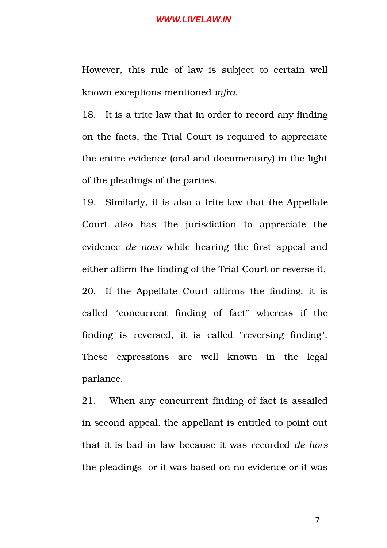However, this rule of law is subject to certain well known exceptions mentioned *infra*.

18. It is a trite law that in order to record any finding on the facts, the Trial Court is required to appreciate the entire evidence (oral and documentary) in the light of the pleadings of the parties.

19. Similarly, it is also a trite law that the Appellate Court also has the jurisdiction to appreciate the evidence *de novo* while hearing the first appeal and either affirm the finding of the Trial Court or reverse it. 20. If the Appellate Court affirms the finding, it is called "concurrent finding of fact" whereas if the finding is reversed, it is called "reversing finding". These expressions are well known in the legal parlance.

21. When any concurrent finding of fact is assailed in second appeal, the appellant is entitled to point out that it is bad in law because it was recorded *de hors* the pleadings or it was based on no evidence or it was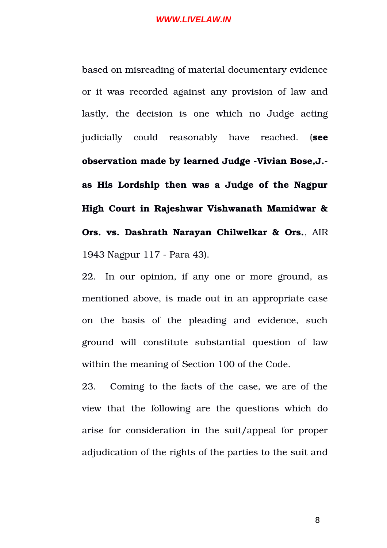based on misreading of material documentary evidence or it was recorded against any provision of law and lastly, the decision is one which no Judge acting judicially could reasonably have reached. (**see** observation made by learned Judge -Vivian Bose, J.**as His Lordship then was a Judge of the Nagpur High Court in Rajeshwar Vishwanath Mamidwar & Ors. vs. Dashrath Narayan Chilwelkar & Ors.**, AIR 1943 Nagpur 117 - Para 43).

22. In our opinion, if any one or more ground, as mentioned above, is made out in an appropriate case on the basis of the pleading and evidence, such ground will constitute substantial question of law within the meaning of Section 100 of the Code.

23. Coming to the facts of the case, we are of the view that the following are the questions which do arise for consideration in the suit/appeal for proper adjudication of the rights of the parties to the suit and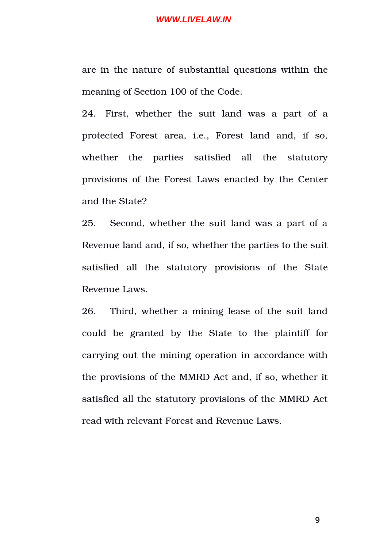are in the nature of substantial questions within the meaning of Section 100 of the Code.

24. First, whether the suit land was a part of a protected Forest area, i.e., Forest land and, if so, whether the parties satisfied all the statutory provisions of the Forest Laws enacted by the Center and the State?

25. Second, whether the suit land was a part of a Revenue land and, if so, whether the parties to the suit satisfied all the statutory provisions of the State Revenue Laws.

26. Third, whether a mining lease of the suit land could be granted by the State to the plaintiff for carrying out the mining operation in accordance with the provisions of the MMRD Act and, if so, whether it satisfied all the statutory provisions of the MMRD Act read with relevant Forest and Revenue Laws.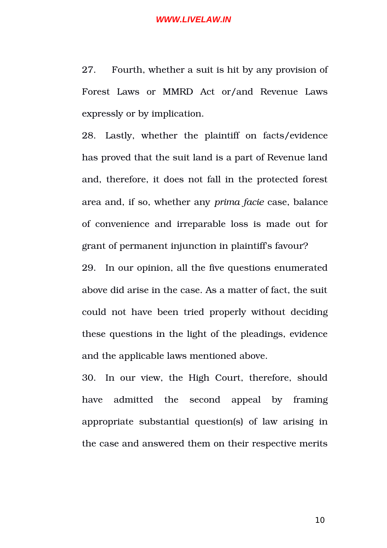27. Fourth, whether a suit is hit by any provision of Forest Laws or MMRD Act or/and Revenue Laws expressly or by implication.

28. Lastly, whether the plaintiff on facts/evidence has proved that the suit land is a part of Revenue land and, therefore, it does not fall in the protected forest area and, if so, whether any *prima facie* case, balance of convenience and irreparable loss is made out for grant of permanent injunction in plaintiff's favour? 29. In our opinion, all the five questions enumerated above did arise in the case. As a matter of fact, the suit could not have been tried properly without deciding

these questions in the light of the pleadings, evidence and the applicable laws mentioned above.

30. In our view, the High Court, therefore, should have admitted the second appeal by framing appropriate substantial question(s) of law arising in the case and answered them on their respective merits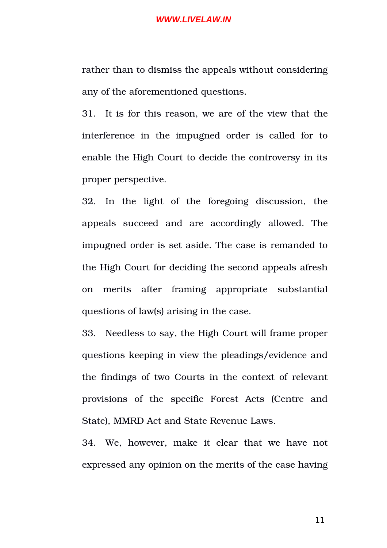rather than to dismiss the appeals without considering any of the aforementioned questions.

31. It is for this reason, we are of the view that the interference in the impugned order is called for to enable the High Court to decide the controversy in its proper perspective.

32. In the light of the foregoing discussion, the appeals succeed and are accordingly allowed. The impugned order is set aside. The case is remanded to the High Court for deciding the second appeals afresh on merits after framing appropriate substantial questions of law(s) arising in the case.

33. Needless to say, the High Court will frame proper questions keeping in view the pleadings/evidence and the findings of two Courts in the context of relevant provisions of the specific Forest Acts (Centre and State), MMRD Act and State Revenue Laws.

34. We, however, make it clear that we have not expressed any opinion on the merits of the case having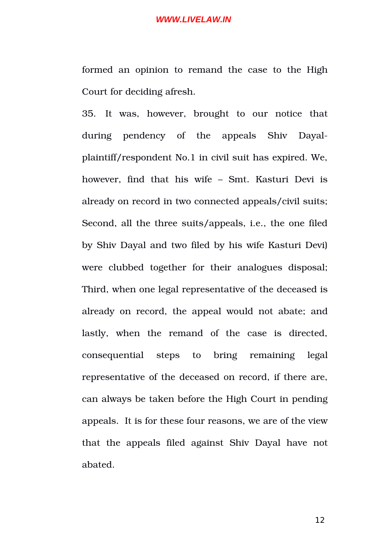formed an opinion to remand the case to the High Court for deciding afresh.

35. It was, however, brought to our notice that during pendency of the appeals Shiv Dayalplaintiff/respondent No.1 in civil suit has expired. We, however, find that his wife - Smt. Kasturi Devi is already on record in two connected appeals/civil suits; Second, all the three suits/appeals, i.e., the one filed by Shiv Dayal and two filed by his wife Kasturi Devi) were clubbed together for their analogues disposal; Third, when one legal representative of the deceased is already on record, the appeal would not abate; and lastly, when the remand of the case is directed, consequential steps to bring remaining legal representative of the deceased on record, if there are, can always be taken before the High Court in pending appeals. It is for these four reasons, we are of the view that the appeals filed against Shiv Dayal have not abated.